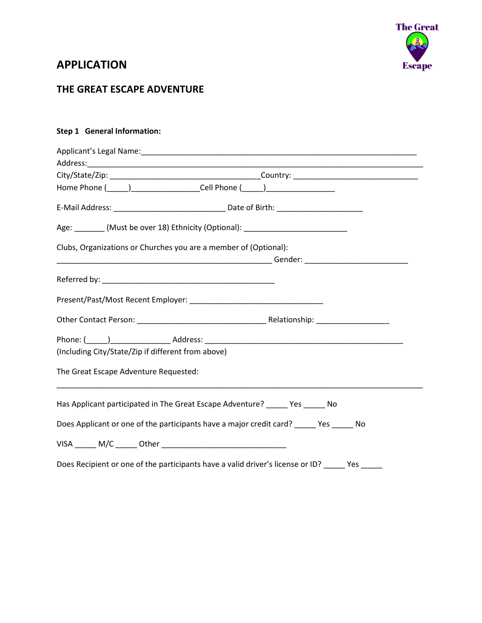

## **APPLICATION**

### **THE GREAT ESCAPE ADVENTURE**

#### **Step 1 General Information:**

| Home Phone (_____)______________________Cell Phone (_____)______________________               |  |  |  |  |
|------------------------------------------------------------------------------------------------|--|--|--|--|
|                                                                                                |  |  |  |  |
| Age: ________ (Must be over 18) Ethnicity (Optional): __________________________               |  |  |  |  |
| Clubs, Organizations or Churches you are a member of (Optional):                               |  |  |  |  |
|                                                                                                |  |  |  |  |
|                                                                                                |  |  |  |  |
|                                                                                                |  |  |  |  |
|                                                                                                |  |  |  |  |
|                                                                                                |  |  |  |  |
| (Including City/State/Zip if different from above)                                             |  |  |  |  |
| The Great Escape Adventure Requested:                                                          |  |  |  |  |
| Has Applicant participated in The Great Escape Adventure? ______ Yes ______ No                 |  |  |  |  |
| Does Applicant or one of the participants have a major credit card? _____ Yes _____ No         |  |  |  |  |
|                                                                                                |  |  |  |  |
| Does Recipient or one of the participants have a valid driver's license or ID? _____ Yes _____ |  |  |  |  |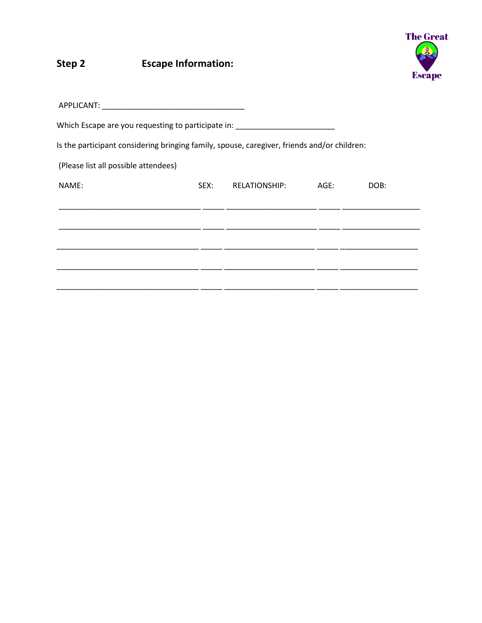#### **Escape Information:** Step 2



| Which Escape are you requesting to participate in:                                          |      |                    |      |  |
|---------------------------------------------------------------------------------------------|------|--------------------|------|--|
| Is the participant considering bringing family, spouse, caregiver, friends and/or children: |      |                    |      |  |
| (Please list all possible attendees)                                                        |      |                    |      |  |
| NAME:                                                                                       | SEX: | RELATIONSHIP: AGE: | DOB: |  |
|                                                                                             |      |                    |      |  |
|                                                                                             |      |                    |      |  |
|                                                                                             |      |                    |      |  |
|                                                                                             |      |                    |      |  |
|                                                                                             |      |                    |      |  |
|                                                                                             |      |                    |      |  |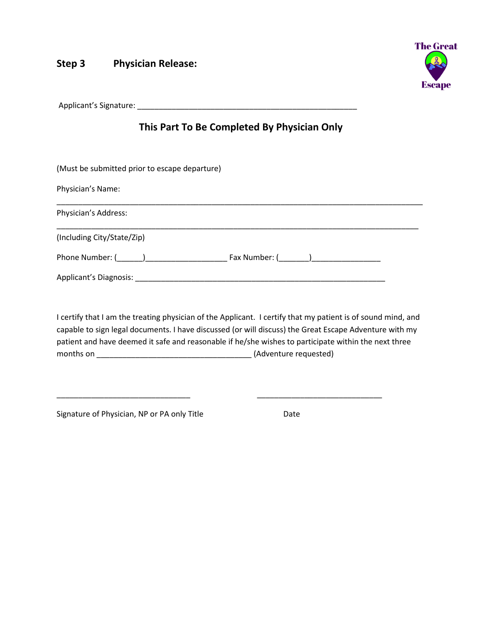#### **Step 3 Physician Release:**



Applicant's Signature: **All any of the Second Second Second Second Second Second Second Second Second Second Second Second Second Second Second Second Second Second Second Second Second Second Second Second Second Second S** 

# **This Part To Be Completed By Physician Only**

(Must be submitted prior to escape departure)

Physician's Name:

| Physician's Address:                            |                                                                                                                                                                                                                                |
|-------------------------------------------------|--------------------------------------------------------------------------------------------------------------------------------------------------------------------------------------------------------------------------------|
| (Including City/State/Zip)                      |                                                                                                                                                                                                                                |
| Phone Number: ( )                               | Fax Number: ( ) and a set of the set of the set of the set of the set of the set of the set of the set of the set of the set of the set of the set of the set of the set of the set of the set of the set of the set of the se |
| Applicant's Diagnosis: North and September 2014 |                                                                                                                                                                                                                                |

I certify that I am the treating physician of the Applicant. I certify that my patient is of sound mind, and capable to sign legal documents. I have discussed (or will discuss) the Great Escape Adventure with my patient and have deemed it safe and reasonable if he/she wishes to participate within the next three months on \_\_\_\_\_\_\_\_\_\_\_\_\_\_\_\_\_\_\_\_\_\_\_\_\_\_\_\_\_\_\_\_\_\_\_\_ (Adventure requested)

\_\_\_\_\_\_\_\_\_\_\_\_\_\_\_\_\_\_\_\_\_\_\_\_\_\_\_\_\_\_\_ \_\_\_\_\_\_\_\_\_\_\_\_\_\_\_\_\_\_\_\_\_\_\_\_\_\_\_\_\_

Signature of Physician, NP or PA only Title **Example 20 Setup** Date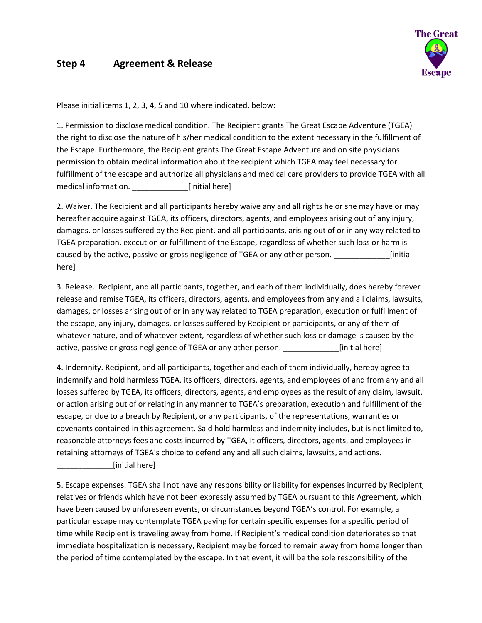#### **Step 4 Agreement & Release**



Please initial items 1, 2, 3, 4, 5 and 10 where indicated, below:

1. Permission to disclose medical condition. The Recipient grants The Great Escape Adventure (TGEA) the right to disclose the nature of his/her medical condition to the extent necessary in the fulfillment of the Escape. Furthermore, the Recipient grants The Great Escape Adventure and on site physicians permission to obtain medical information about the recipient which TGEA may feel necessary for fulfillment of the escape and authorize all physicians and medical care providers to provide TGEA with all medical information. [initial here]

2. Waiver. The Recipient and all participants hereby waive any and all rights he or she may have or may hereafter acquire against TGEA, its officers, directors, agents, and employees arising out of any injury, damages, or losses suffered by the Recipient, and all participants, arising out of or in any way related to TGEA preparation, execution or fulfillment of the Escape, regardless of whether such loss or harm is caused by the active, passive or gross negligence of TGEA or any other person.  $\qquad \qquad$  [initial] here]

3. Release. Recipient, and all participants, together, and each of them individually, does hereby forever release and remise TGEA, its officers, directors, agents, and employees from any and all claims, lawsuits, damages, or losses arising out of or in any way related to TGEA preparation, execution or fulfillment of the escape, any injury, damages, or losses suffered by Recipient or participants, or any of them of whatever nature, and of whatever extent, regardless of whether such loss or damage is caused by the active, passive or gross negligence of TGEA or any other person.  $\sim$  [initial here]

4. Indemnity. Recipient, and all participants, together and each of them individually, hereby agree to indemnify and hold harmless TGEA, its officers, directors, agents, and employees of and from any and all losses suffered by TGEA, its officers, directors, agents, and employees as the result of any claim, lawsuit, or action arising out of or relating in any manner to TGEA's preparation, execution and fulfillment of the escape, or due to a breach by Recipient, or any participants, of the representations, warranties or covenants contained in this agreement. Said hold harmless and indemnity includes, but is not limited to, reasonable attorneys fees and costs incurred by TGEA, it officers, directors, agents, and employees in retaining attorneys of TGEA's choice to defend any and all such claims, lawsuits, and actions. [initial here]

5. Escape expenses. TGEA shall not have any responsibility or liability for expenses incurred by Recipient, relatives or friends which have not been expressly assumed by TGEA pursuant to this Agreement, which have been caused by unforeseen events, or circumstances beyond TGEA's control. For example, a particular escape may contemplate TGEA paying for certain specific expenses for a specific period of time while Recipient is traveling away from home. If Recipient's medical condition deteriorates so that immediate hospitalization is necessary, Recipient may be forced to remain away from home longer than the period of time contemplated by the escape. In that event, it will be the sole responsibility of the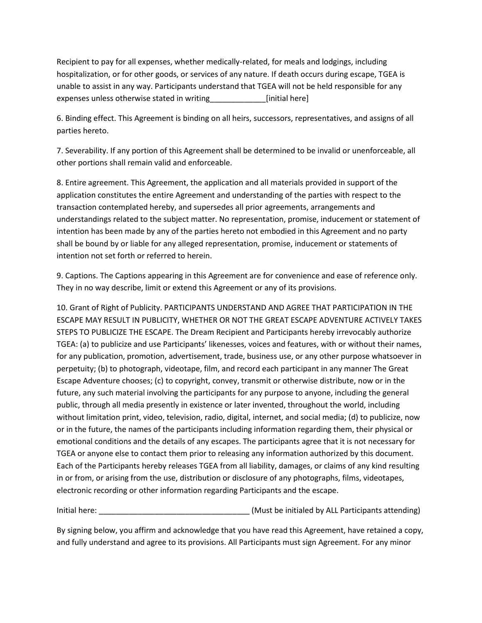Recipient to pay for all expenses, whether medically-related, for meals and lodgings, including hospitalization, or for other goods, or services of any nature. If death occurs during escape, TGEA is unable to assist in any way. Participants understand that TGEA will not be held responsible for any expenses unless otherwise stated in writing\_\_\_\_\_\_\_\_\_\_\_\_\_[initial here]

6. Binding effect. This Agreement is binding on all heirs, successors, representatives, and assigns of all parties hereto.

7. Severability. If any portion of this Agreement shall be determined to be invalid or unenforceable, all other portions shall remain valid and enforceable.

8. Entire agreement. This Agreement, the application and all materials provided in support of the application constitutes the entire Agreement and understanding of the parties with respect to the transaction contemplated hereby, and supersedes all prior agreements, arrangements and understandings related to the subject matter. No representation, promise, inducement or statement of intention has been made by any of the parties hereto not embodied in this Agreement and no party shall be bound by or liable for any alleged representation, promise, inducement or statements of intention not set forth or referred to herein.

9. Captions. The Captions appearing in this Agreement are for convenience and ease of reference only. They in no way describe, limit or extend this Agreement or any of its provisions.

10. Grant of Right of Publicity. PARTICIPANTS UNDERSTAND AND AGREE THAT PARTICIPATION IN THE ESCAPE MAY RESULT IN PUBLICITY, WHETHER OR NOT THE GREAT ESCAPE ADVENTURE ACTIVELY TAKES STEPS TO PUBLICIZE THE ESCAPE. The Dream Recipient and Participants hereby irrevocably authorize TGEA: (a) to publicize and use Participants' likenesses, voices and features, with or without their names, for any publication, promotion, advertisement, trade, business use, or any other purpose whatsoever in perpetuity; (b) to photograph, videotape, film, and record each participant in any manner The Great Escape Adventure chooses; (c) to copyright, convey, transmit or otherwise distribute, now or in the future, any such material involving the participants for any purpose to anyone, including the general public, through all media presently in existence or later invented, throughout the world, including without limitation print, video, television, radio, digital, internet, and social media; (d) to publicize, now or in the future, the names of the participants including information regarding them, their physical or emotional conditions and the details of any escapes. The participants agree that it is not necessary for TGEA or anyone else to contact them prior to releasing any information authorized by this document. Each of the Participants hereby releases TGEA from all liability, damages, or claims of any kind resulting in or from, or arising from the use, distribution or disclosure of any photographs, films, videotapes, electronic recording or other information regarding Participants and the escape.

Initial here: \_\_\_\_\_\_\_\_\_\_\_\_\_\_\_\_\_\_\_\_\_\_\_\_\_\_\_\_\_\_\_\_\_\_\_ (Must be initialed by ALL Participants attending)

By signing below, you affirm and acknowledge that you have read this Agreement, have retained a copy, and fully understand and agree to its provisions. All Participants must sign Agreement. For any minor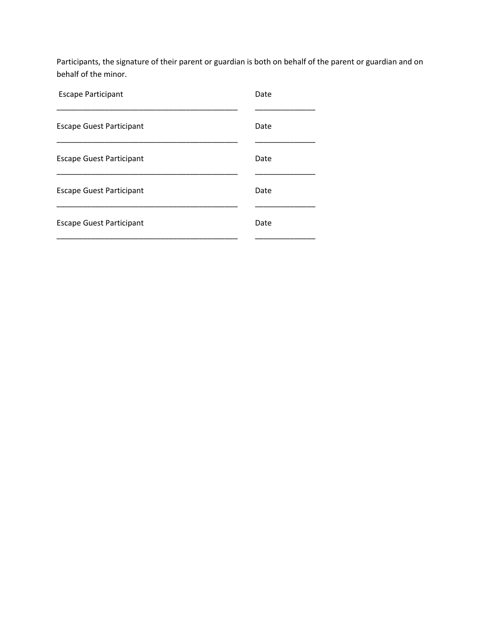Participants, the signature of their parent or guardian is both on behalf of the parent or guardian and on behalf of the minor.

| <b>Escape Participant</b>       | Date |
|---------------------------------|------|
| <b>Escape Guest Participant</b> | Date |
| <b>Escape Guest Participant</b> | Date |
| <b>Escape Guest Participant</b> | Date |
| <b>Escape Guest Participant</b> | Date |